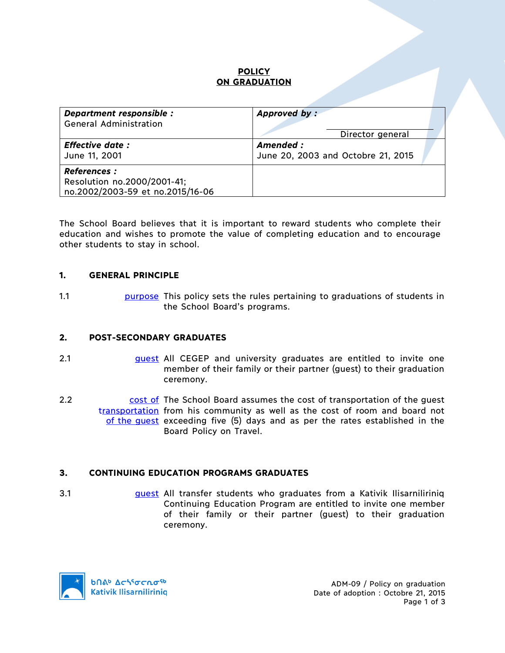# **POLICY ON GRADUATION**

| Department responsible :<br><b>General Administration</b>                             | Approved by:                                    |  |
|---------------------------------------------------------------------------------------|-------------------------------------------------|--|
|                                                                                       | Director general                                |  |
| <b>Effective date:</b><br>June 11, 2001                                               | Amended :<br>June 20, 2003 and Octobre 21, 2015 |  |
| <b>References:</b><br>Resolution no.2000/2001-41;<br>no.2002/2003-59 et no.2015/16-06 |                                                 |  |

The School Board believes that it is important to reward students who complete their education and wishes to promote the value of completing education and to encourage other students to stay in school.

### **1. GENERAL PRINCIPLE**

1.1 **purpose** This policy sets the rules pertaining to graduations of students in the School Board's programs.

### **2. POST-SECONDARY GRADUATES**

- 2.1 **guest All CEGEP** and university graduates are entitled to invite one member of their family or their partner (guest) to their graduation ceremony.
- 2.2 cost of The School Board assumes the cost of transportation of the guest transportation from his community as well as the cost of room and board not of the quest exceeding five (5) days and as per the rates established in the Board Policy on Travel.

### **3. CONTINUING EDUCATION PROGRAMS GRADUATES**

3.1 guest All transfer students who graduates from a Kativik Ilisarniliriniq Continuing Education Program are entitled to invite one member of their family or their partner (guest) to their graduation ceremony.

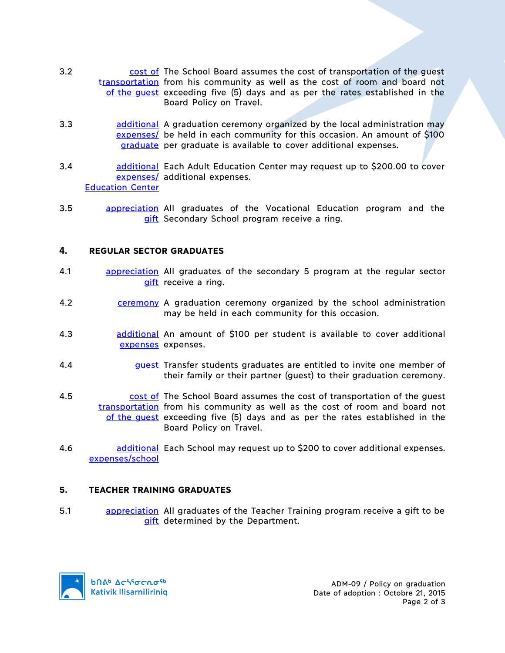- 3.2 cost of The School Board assumes the cost of transportation of the guest transportation from his community as well as the cost of room and board not of the guest exceeding five (5) days and as per the rates established in the Board Policy on Travel.
- 3.3 additional A graduation ceremony organized by the local administration may expenses/ be held in each community for this occasion. An amount of \$100 graduate per graduate is available to cover additional expenses.
- 3.4 **additional Each Adult Education Center may request up to \$200.00 to cover** expenses/ additional expenses. Education Center
- 3.5 **appreciation** All graduates of the Vocational Education program and the gift Secondary School program receive a ring.

### **4. REGULAR SECTOR GRADUATES**

- 4.1 **appreciation** All graduates of the secondary 5 program at the regular sector gift receive a ring.
- 4.2 ceremony A graduation ceremony organized by the school administration may be held in each community for this occasion.
- 4.3 additional An amount of \$100 per student is available to cover additional expenses expenses.
- 4.4 guest Transfer students graduates are entitled to invite one member of their family or their partner (guest) to their graduation ceremony.
- 4.5 cost of The School Board assumes the cost of transportation of the guest transportation from his community as well as the cost of room and board not of the quest exceeding five (5) days and as per the rates established in the Board Policy on Travel.
- 4.6 **and additional Each School may request up to \$200 to cover additional expenses.** expenses/school

## **5. TEACHER TRAINING GRADUATES**

5.1 **busing appreciation** All graduates of the Teacher Training program receive a gift to be gift determined by the Department.